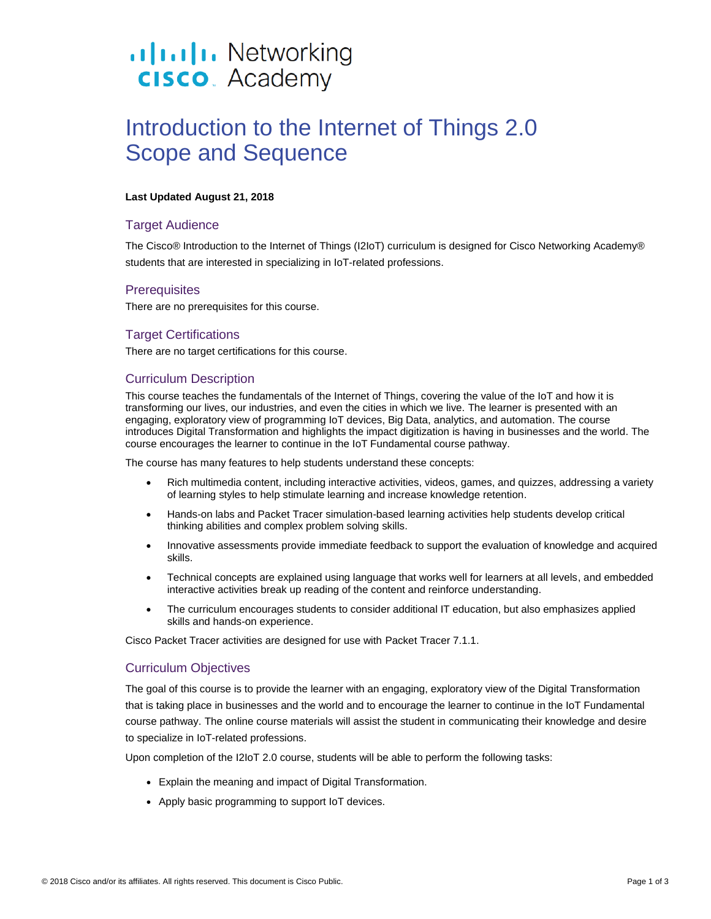# .**Ilt.Ilt.** Networking **CISCO**. Academy

# Introduction to the Internet of Things 2.0 Scope and Sequence

#### **Last Updated August 21, 2018**

# Target Audience

The Cisco® Introduction to the Internet of Things (I2IoT) curriculum is designed for Cisco Networking Academy® students that are interested in specializing in IoT-related professions.

### **Prerequisites**

There are no prerequisites for this course.

# Target Certifications

There are no target certifications for this course.

### Curriculum Description

This course teaches the fundamentals of the Internet of Things, covering the value of the IoT and how it is transforming our lives, our industries, and even the cities in which we live. The learner is presented with an engaging, exploratory view of programming IoT devices, Big Data, analytics, and automation. The course introduces Digital Transformation and highlights the impact digitization is having in businesses and the world. The course encourages the learner to continue in the IoT Fundamental course pathway.

The course has many features to help students understand these concepts:

- Rich multimedia content, including interactive activities, videos, games, and quizzes, addressing a variety of learning styles to help stimulate learning and increase knowledge retention.
- Hands-on labs and Packet Tracer simulation-based learning activities help students develop critical thinking abilities and complex problem solving skills.
- Innovative assessments provide immediate feedback to support the evaluation of knowledge and acquired skills.
- Technical concepts are explained using language that works well for learners at all levels, and embedded interactive activities break up reading of the content and reinforce understanding.
- The curriculum encourages students to consider additional IT education, but also emphasizes applied skills and hands-on experience.

Cisco Packet Tracer activities are designed for use with Packet Tracer 7.1.1.

### Curriculum Objectives

The goal of this course is to provide the learner with an engaging, exploratory view of the Digital Transformation that is taking place in businesses and the world and to encourage the learner to continue in the IoT Fundamental course pathway. The online course materials will assist the student in communicating their knowledge and desire to specialize in IoT-related professions.

Upon completion of the I2IoT 2.0 course, students will be able to perform the following tasks:

- Explain the meaning and impact of Digital Transformation.
- Apply basic programming to support IoT devices.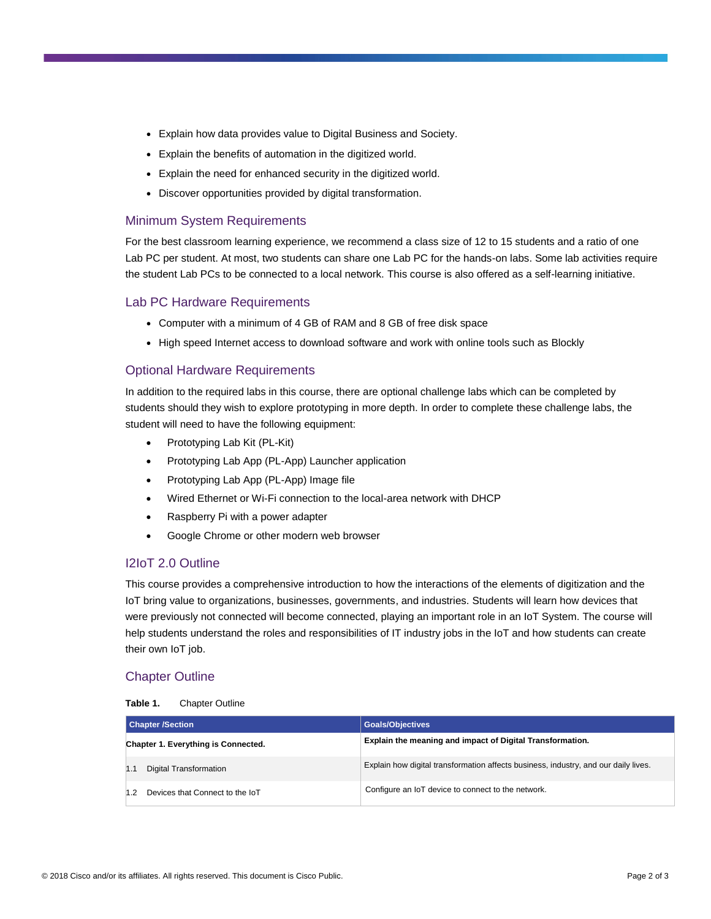- Explain how data provides value to Digital Business and Society.
- Explain the benefits of automation in the digitized world.
- Explain the need for enhanced security in the digitized world.
- Discover opportunities provided by digital transformation.

# Minimum System Requirements

For the best classroom learning experience, we recommend a class size of 12 to 15 students and a ratio of one Lab PC per student. At most, two students can share one Lab PC for the hands-on labs. Some lab activities require the student Lab PCs to be connected to a local network. This course is also offered as a self-learning initiative.

# Lab PC Hardware Requirements

- Computer with a minimum of 4 GB of RAM and 8 GB of free disk space
- High speed Internet access to download software and work with online tools such as Blockly

# Optional Hardware Requirements

In addition to the required labs in this course, there are optional challenge labs which can be completed by students should they wish to explore prototyping in more depth. In order to complete these challenge labs, the student will need to have the following equipment:

- Prototyping Lab Kit (PL-Kit)
- Prototyping Lab App (PL-App) Launcher application
- Prototyping Lab App (PL-App) Image file
- Wired Ethernet or Wi-Fi connection to the local-area network with DHCP
- Raspberry Pi with a power adapter
- Google Chrome or other modern web browser

### I2IoT 2.0 Outline

This course provides a comprehensive introduction to how the interactions of the elements of digitization and the IoT bring value to organizations, businesses, governments, and industries. Students will learn how devices that were previously not connected will become connected, playing an important role in an IoT System. The course will help students understand the roles and responsibilities of IT industry jobs in the IoT and how students can create their own IoT job.

# Chapter Outline

#### **Table 1.** Chapter Outline

| <b>Chapter /Section</b>             | <b>Goals/Objectives</b>                                                             |
|-------------------------------------|-------------------------------------------------------------------------------------|
| Chapter 1. Everything is Connected. | Explain the meaning and impact of Digital Transformation.                           |
| Digital Transformation              | Explain how digital transformation affects business, industry, and our daily lives. |
| Devices that Connect to the IoT     | Configure an IoT device to connect to the network.                                  |